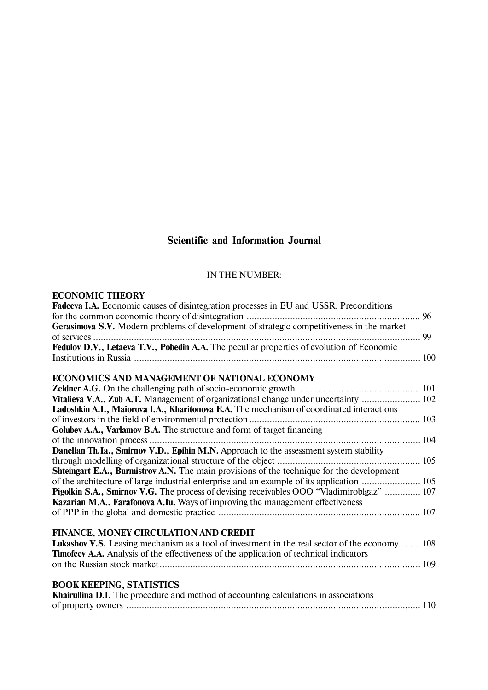# **Scientific and Information Journal**

## IN THE NUMBER:

## **ECONOMIC THEORY**

| Fadeeva I.A. Economic causes of disintegration processes in EU and USSR. Preconditions         |  |
|------------------------------------------------------------------------------------------------|--|
| Gerasimova S.V. Modern problems of development of strategic competitiveness in the market      |  |
| Fedulov D.V., Letaeva T.V., Pobedin A.A. The peculiar properties of evolution of Economic      |  |
|                                                                                                |  |
|                                                                                                |  |
| ECONOMICS AND MANAGEMENT OF NATIONAL ECONOMY                                                   |  |
|                                                                                                |  |
| Vitalieva V.A., Zub A.T. Management of organizational change under uncertainty  102            |  |
| Ladoshkin A.I., Maiorova I.A., Kharitonova E.A. The mechanism of coordinated interactions      |  |
|                                                                                                |  |
| Golubev A.A., Varlamov B.A. The structure and form of target financing                         |  |
|                                                                                                |  |
| Danelian Th.Ia., Smirnov V.D., Epihin M.N. Approach to the assessment system stability         |  |
|                                                                                                |  |
| Shteingart E.A., Burmistrov A.N. The main provisions of the technique for the development      |  |
| of the architecture of large industrial enterprise and an example of its application  105      |  |
| Pigolkin S.A., Smirnov V.G. The process of devising receivables OOO "Vladimiroblgaz"  107      |  |
| Kazarian M.A., Farafonova A.Iu. Ways of improving the management effectiveness                 |  |
|                                                                                                |  |
|                                                                                                |  |
| FINANCE, MONEY CIRCULATION AND CREDIT                                                          |  |
| Lukashov V.S. Leasing mechanism as a tool of investment in the real sector of the economy  108 |  |
| Timofeev A.A. Analysis of the effectiveness of the application of technical indicators         |  |
|                                                                                                |  |
|                                                                                                |  |
| <b>BOOK KEEPING, STATISTICS</b>                                                                |  |
| <b>Khairullina D.I.</b> The procedure and method of accounting calculations in associations    |  |
|                                                                                                |  |
|                                                                                                |  |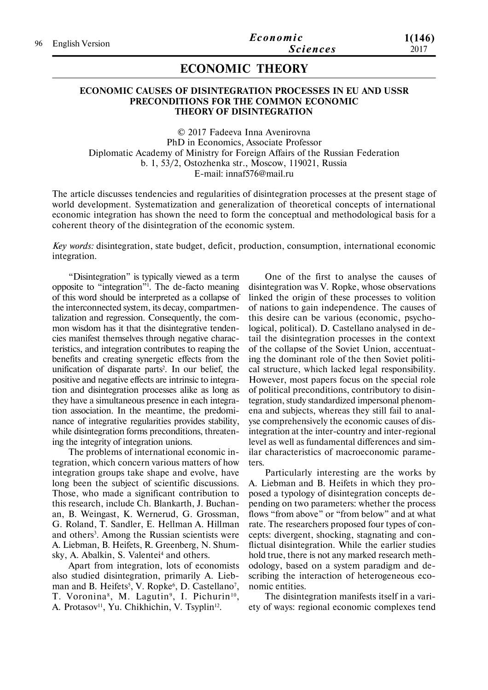## **ECONOMIC THEORY**

### **ECONOMIC CAUSES OF DISINTEGRATION PROCESSES IN EU AND USSR PRECONDITIONS FOR THE COMMON ECONOMIC THEORY OF DISINTEGRATION**

© 2017 Fadeeva Inna Avenirovna PhD in Economics, Associate Professor Diplomatic Academy of Ministry for Foreign Affairs of the Russian Federation b. 1, 53/2, Ostozhenka str., Moscow, 119021, Russia E-mail: innaf576@mail.ru

The article discusses tendencies and regularities of disintegration processes at the present stage of world development. Systematization and generalization of theoretical concepts of international economic integration has shown the need to form the conceptual and methodological basis for a coherent theory of the disintegration of the economic system.

*Key words:* disintegration, state budget, deficit, production, consumption, international economic integration.

"Disintegration" is typically viewed as a term opposite to "integration"<sup>1</sup> . The de-facto meaning of this word should be interpreted as a collapse of the interconnected system, its decay, compartmentalization and regression. Consequently, the common wisdom has it that the disintegrative tendencies manifest themselves through negative characteristics, and integration contributes to reaping the benefits and creating synergetic effects from the unification of disparate parts<sup>2</sup> . In our belief, the positive and negative effects are intrinsic to integration and disintegration processes alike as long as they have a simultaneous presence in each integration association. In the meantime, the predominance of integrative regularities provides stability, while disintegration forms preconditions, threatening the integrity of integration unions.

The problems of international economic integration, which concern various matters of how integration groups take shape and evolve, have long been the subject of scientific discussions. Those, who made a significant contribution to this research, include Ch. Blankarth, J. Buchanan, B. Weingast, K. Wernerud, G. Grossman, G. Roland, T. Sandler, E. Hellman A. Hillman and others<sup>3</sup>. Among the Russian scientists were A. Liebman, B. Heifets, R. Greenberg, N. Shumsky, A. Abalkin, S. Valentei<sup>4</sup> and others.

Apart from integration, lots of economists also studied disintegration, primarily A. Liebman and B. Heifets<sup>5</sup>, V. Ropke $\delta$ , D. Castellano<sup>7</sup>, T. Voronina<sup>8</sup>, M. Lagutin<sup>9</sup>, I. Pichurin<sup>10</sup>, A. Protasov<sup>11</sup>, Yu. Chikhichin, V. Tsyplin<sup>12</sup>.

One of the first to analyse the causes of disintegration was V. Ropke, whose observations linked the origin of these processes to volition of nations to gain independence. The causes of this desire can be various (economic, psychological, political). D. Castellano analysed in detail the disintegration processes in the context of the collapse of the Soviet Union, accentuating the dominant role of the then Soviet political structure, which lacked legal responsibility. However, most papers focus on the special role of political preconditions, contributory to disintegration, study standardized impersonal phenomena and subjects, whereas they still fail to analyse comprehensively the economic causes of disintegration at the inter-country and inter-regional level as well as fundamental differences and similar characteristics of macroeconomic parameters.

Particularly interesting are the works by A. Liebman and B. Heifets in which they proposed a typology of disintegration concepts depending on two parameters: whether the process flows "from above" or "from below" and at what rate. The researchers proposed four types of concepts: divergent, shocking, stagnating and conflictual disintegration. While the earlier studies hold true, there is not any marked research methodology, based on a system paradigm and describing the interaction of heterogeneous economic entities.

The disintegration manifests itself in a variety of ways: regional economic complexes tend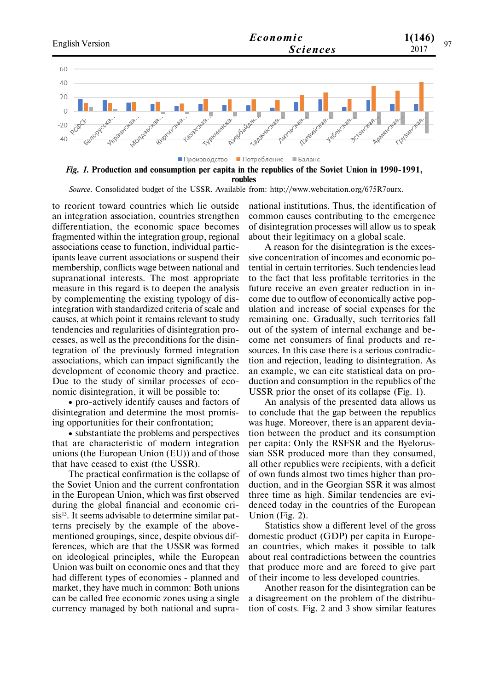

*Fig. 1.* **Production and consumption per capita in the republics of the Soviet Union in 1990-1991, roubles**

*Source.* Consolidated budget of the USSR. Available from: http://www.webcitation.org/675R7ourx.

to reorient toward countries which lie outside an integration association, countries strengthen differentiation, the economic space becomes fragmented within the integration group, regional associations cease to function, individual participants leave current associations or suspend their membership, conflicts wage between national and supranational interests. The most appropriate measure in this regard is to deepen the analysis by complementing the existing typology of disintegration with standardized criteria of scale and causes, at which point it remains relevant to study tendencies and regularities of disintegration processes, as well as the preconditions for the disintegration of the previously formed integration associations, which can impact significantly the development of economic theory and practice. Due to the study of similar processes of economic disintegration, it will be possible to:

 pro-actively identify causes and factors of disintegration and determine the most promising opportunities for their confrontation;

 substantiate the problems and perspectives that are characteristic of modern integration unions (the European Union (EU)) and of those that have ceased to exist (the USSR).

The practical confirmation is the collapse of the Soviet Union and the current confrontation in the European Union, which was first observed during the global financial and economic crisis<sup>13</sup>. It seems advisable to determine similar patterns precisely by the example of the abovementioned groupings, since, despite obvious differences, which are that the USSR was formed on ideological principles, while the European Union was built on economic ones and that they had different types of economies - planned and market, they have much in common: Both unions can be called free economic zones using a single currency managed by both national and supranational institutions. Thus, the identification of common causes contributing to the emergence of disintegration processes will allow us to speak about their legitimacy on a global scale.

A reason for the disintegration is the excessive concentration of incomes and economic potential in certain territories. Such tendencies lead to the fact that less profitable territories in the future receive an even greater reduction in income due to outflow of economically active population and increase of social expenses for the remaining one. Gradually, such territories fall out of the system of internal exchange and become net consumers of final products and resources. In this case there is a serious contradiction and rejection, leading to disintegration. As an example, we can cite statistical data on production and consumption in the republics of the USSR prior the onset of its collapse (Fig. 1).

An analysis of the presented data allows us to conclude that the gap between the republics was huge. Moreover, there is an apparent deviation between the product and its consumption per capita: Only the RSFSR and the Byelorussian SSR produced more than they consumed, all other republics were recipients, with a deficit of own funds almost two times higher than production, and in the Georgian SSR it was almost three time as high. Similar tendencies are evidenced today in the countries of the European Union (Fig. 2).

Statistics show a different level of the gross domestic product (GDP) per capita in European countries, which makes it possible to talk about real contradictions between the countries that produce more and are forced to give part of their income to less developed countries.

Another reason for the disintegration can be a disagreement on the problem of the distribution of costs. Fig. 2 and 3 show similar features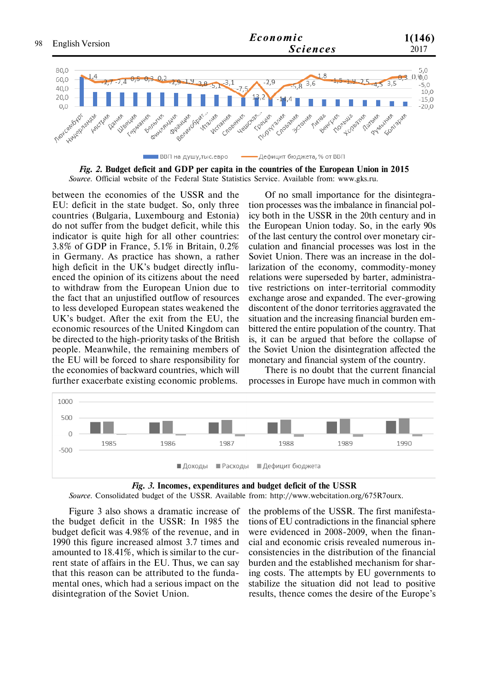

*Fig. 2.* **Budget deficit and GDP per capita in the countries of the European Union in 2015** *Source.* Official website of the Federal State Statistics Service. Available from: www.gks.ru.

between the economies of the USSR and the EU: deficit in the state budget. So, only three countries (Bulgaria, Luxembourg and Estonia) do not suffer from the budget deficit, while this indicator is quite high for all other countries: 3.8% of GDP in France, 5.1% in Britain, 0.2% in Germany. As practice has shown, a rather high deficit in the UK's budget directly influenced the opinion of its citizens about the need to withdraw from the European Union due to the fact that an unjustified outflow of resources to less developed European states weakened the UK's budget. After the exit from the EU, the economic resources of the United Kingdom can be directed to the high-priority tasks of the British people. Meanwhile, the remaining members of the EU will be forced to share responsibility for the economies of backward countries, which will further exacerbate existing economic problems.

Of no small importance for the disintegration processes was the imbalance in financial policy both in the USSR in the 20th century and in the European Union today. So, in the early 90s of the last century the control over monetary circulation and financial processes was lost in the Soviet Union. There was an increase in the dollarization of the economy, commodity-money relations were superseded by barter, administrative restrictions on inter-territorial commodity exchange arose and expanded. The ever-growing discontent of the donor territories aggravated the situation and the increasing financial burden embittered the entire population of the country. That is, it can be argued that before the collapse of the Soviet Union the disintegration affected the monetary and financial system of the country.

There is no doubt that the current financial processes in Europe have much in common with





*Source.* Consolidated budget of the USSR. Available from: http://www.webcitation.org/675R7ourx.

Figure 3 also shows a dramatic increase of the budget deficit in the USSR: In 1985 the budget deficit was 4.98% of the revenue, and in 1990 this figure increased almost 3.7 times and amounted to 18.41%, which is similar to the current state of affairs in the EU. Thus, we can say that this reason can be attributed to the fundamental ones, which had a serious impact on the disintegration of the Soviet Union.

the problems of the USSR. The first manifestations of EU contradictions in the financial sphere were evidenced in 2008-2009, when the financial and economic crisis revealed numerous inconsistencies in the distribution of the financial burden and the established mechanism for sharing costs. The attempts by EU governments to stabilize the situation did not lead to positive results, thence comes the desire of the Europe's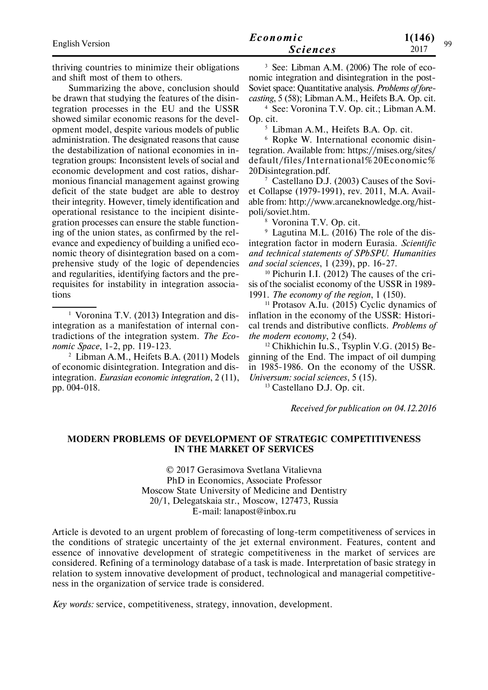| English Version | Economic        | 1(146)<br>Q۵ |
|-----------------|-----------------|--------------|
|                 | <b>Sciences</b> | 2017         |
|                 |                 |              |

thriving countries to minimize their obligations and shift most of them to others.

Summarizing the above, conclusion should be drawn that studying the features of the disintegration processes in the EU and the USSR showed similar economic reasons for the development model, despite various models of public administration. The designated reasons that cause the destabilization of national economies in integration groups: Inconsistent levels of social and economic development and cost ratios, disharmonious financial management against growing deficit of the state budget are able to destroy their integrity. However, timely identification and operational resistance to the incipient disintegration processes can ensure the stable functioning of the union states, as confirmed by the relevance and expediency of building a unified economic theory of disintegration based on a comprehensive study of the logic of dependencies and regularities, identifying factors and the prerequisites for instability in integration associations

<sup>1</sup> Voronina T.V. (2013) Integration and disintegration as a manifestation of internal contradictions of the integration system. *The Economic Space*, 1-2, pp. 119-123.

<sup>2</sup> Libman A.M., Heifets B.A. (2011) Models of economic disintegration. Integration and disintegration. *Eurasian economic integration*, 2 (11), pp. 004-018.

<sup>3</sup> See: Libman A.M. (2006) The role of economic integration and disintegration in the post-Soviet space: Quantitative analysis. *Problems of forecasting*, 5 (58); Libman A.M., Heifets B.A. Op. cit.

<sup>4</sup> See: Voronina T.V. Op. cit.; Libman A.M. Op. cit.

<sup>5</sup> Libman A.M., Heifets B.A. Op. cit.

<sup>6</sup> Ropke W. International economic disintegration. Available from: https://mises.org/sites/ default/files/International%20Economic% 20Disintegration.pdf.

<sup>7</sup> Castellano D.J. (2003) Causes of the Soviet Collapse (1979-1991), rev. 2011, M.A. Available from: http://www.arcaneknowledge.org/histpoli/soviet.htm.

<sup>8</sup> Voronina T.V. Op. cit.

 $9$  Lagutina M.L. (2016) The role of the disintegration factor in modern Eurasia. *Scientific and technical statements of SPbSPU. Humanities and social sciences*, 1 (239), pp. 16-27.

<sup>10</sup> Pichurin I.I. (2012) The causes of the crisis of the socialist economy of the USSR in 1989- 1991. *The economy of the region*, 1 (150).

 $11$  Protasov A.Iu. (2015) Cyclic dynamics of inflation in the economy of the USSR: Historical trends and distributive conflicts. *Problems of the modern economy*, 2 (54).

<sup>12</sup> Chikhichin Iu.S., Tsyplin V.G. (2015) Beginning of the End. The impact of oil dumping in 1985-1986. On the economy of the USSR. *Universum: social sciences*, 5 (15).

<sup>13</sup> Castellano D.J. Op. cit.

*Received for publication on 04.12.2016*

#### **MODERN PROBLEMS OF DEVELOPMENT OF STRATEGIC COMPETITIVENESS IN THE MARKET OF SERVICES**

© 2017 Gerasimova Svetlana Vitalievna PhD in Economics, Associate Professor Moscow State University of Medicine and Dentistry 20/1, Delegatskaia str., Moscow, 127473, Russia E-mail: lanapost@inbox.ru

Article is devoted to an urgent problem of forecasting of long-term competitiveness of services in the conditions of strategic uncertainty of the jet external environment. Features, content and essence of innovative development of strategic competitiveness in the market of services are considered. Refining of a terminology database of a task is made. Interpretation of basic strategy in relation to system innovative development of product, technological and managerial competitiveness in the organization of service trade is considered.

*Key words:* service, competitiveness, strategy, innovation, development.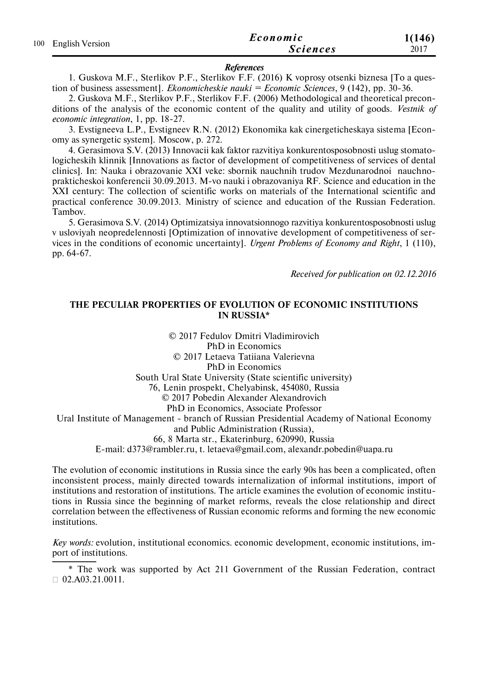| 100 English Version | Economic        | 1(146) |
|---------------------|-----------------|--------|
|                     | <b>Sciences</b> | 2017   |

#### *References*

1. Guskova M.F., Sterlikov P.F., Sterlikov F.F. (2016) K voprosy otsenki biznesa [To a question of business assessment]. *Ekonomicheskie nauki = Economic Sciences*, 9 (142), рр. 30-36.

2. Guskova M.F., Sterlikov P.F., Sterlikov F.F. (2006) Methodological and theoretical preconditions of the analysis of the economic content of the quality and utility of goods. *Vestnik of economic integration*, 1, рр. 18-27.

3. Evstigneeva L.P., Evstigneev R.N. (2012) Ekonomika kak cinergeticheskaya sistema [Economy as synergetic system]. Moscow, р. 272.

4. Gerasimova S.V. (2013) Innovacii kak faktor razvitiya konkurentosposobnosti uslug stomatologicheskih klinnik [Innovations as factor of development of competitiveness of services of dental clinics]. In: Nauka i obrazovanie XXI veke: sbornik nauchnih trudov Mezdunarodnoi nauchnoprakticheskoi konferencii 30.09.2013. M-vo nauki i obrazovaniya RF. Science and education in the XXI century: The collection of scientific works on materials of the International scientific and practical conference 30.09.2013. Ministry of science and education of the Russian Federation. Tambov.

5. Gerasimova S.V. (2014) Optimizatsiya innovatsionnogo razvitiya konkurentosposobnosti uslug v usloviyah neopredelennosti [Optimization of innovative development of competitiveness of services in the conditions of economic uncertainty]. *Urgent Problems of Economy and Right*, 1 (110), рр. 64-67.

*Received for publication on 02.12.2016*

### **THE PECULIAR PROPERTIES OF EVOLUTION OF ECONOMIC INSTITUTIONS IN RUSSIA\***

© 2017 Fedulov Dmitri Vladimirovich PhD in Economics © 2017 Letaeva Tatiiana Valerievna PhD in Economics South Ural State University (State scientific university) 76, Lenin prospekt, Chelyabinsk, 454080, Russia © 2017 Pobedin Alexandеr Alexandrovich PhD in Economics, Associate Professor Ural Institute of Management - branch of Russian Presidential Academy of National Economy and Public Administration (Russia), 66, 8 Marta str., Ekaterinburg, 620990, Russia E-mail: d373@rambler.ru, t. letaeva@gmail.com, alexandr.pobedin@uapa.ru

The evolution of economic institutions in Russia since the early 90s has been a complicated, often inconsistent process, mainly directed towards internalization of informal institutions, import of institutions and restoration of institutions. The article examines the evolution of economic institutions in Russia since the beginning of market reforms, reveаls the close relationship and direct correlation between the effectiveness of Russian economic reforms and forming the new economic institutions.

*Key words:* evolution, institutional economics. economic development, economic institutions, import of institutions.

\* The work was supported by Act 211 Government of the Russian Federation, contract  $\Box$  02.A03.21.0011.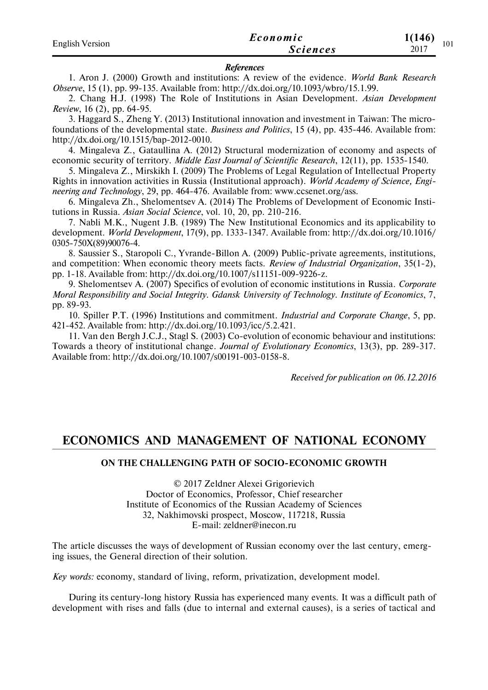| <b>English Version</b> | Economic        | 1(146)<br>101 |
|------------------------|-----------------|---------------|
|                        | <i>Sciences</i> | 2017          |

#### *References*

1. Aron J. (2000) Growth and institutions: A review of the evidence. *World Bank Research Observe*, 15 (1), pp. 99-135. Available from: http://dx.doi.org/10.1093/wbro/15.1.99.

2. Chang H.J. (1998) The Role of Institutions in Asian Development. *Asian Development Review*, 16 (2), pp. 64-95.

3. Haggard S., Zheng Y. (2013) Institutional innovation and investment in Taiwan: The microfoundations of the developmental state. *Business and Politics*, 15 (4), pp. 435-446. Available from: http://dx.doi.org/10.1515/bap-2012-0010.

4. Mingaleva Z., Gataullina A. (2012) Structural modernization of economy and aspects of economic security of territory. *Middle East Journal of Scientific Research*, 12(11), pp. 1535-1540.

5. Mingaleva Z., Mirskikh I. (2009) The Problems of Legal Regulation of Intellectual Property Rights in innovation activities in Russia (Institutional approach). *World Academy of Science, Engineering and Technology*, 29, pp. 464-476. Available from: www.ccsenet.org/ass.

6. Mingaleva Zh., Shelomentsev А. (2014) The Problems of Development of Economic Institutions in Russia. *Asian Social Science*, vol. 10, 20, pp. 210-216.

7. Nabli M.K., Nugent J.B. (1989) The New Institutional Economics and its applicability to development. *World Development*, 17(9), pp. 1333-1347. Available from: http://dx.doi.org/10.1016/ 0305-750X(89)90076-4.

8. Saussier S., Staropoli C., Yvrande-Billon A. (2009) Public-private agreements, institutions, and competition: When economic theory meets facts. *Review of Industrial Organization*, 35(1-2), pp. 1-18. Available from: http://dx.doi.org/10.1007/s11151-009-9226-z.

9. Shelomentsev A. (2007) Specifics of evolution of economic institutions in Russia. *Corporate Moral Responsibility and Social Integrity. Gdansk University of Technology. Institute of Economics*, 7, pp. 89-93.

10. Spiller P.T. (1996) Institutions and commitment. *Industrial and Corporate Change*, 5, pp. 421-452. Available from: http://dx.doi.org/10.1093/icc/5.2.421.

11. Van den Bergh J.C.J., Stagl S. (2003) Co-evolution of economic behaviour and institutions: Towards a theory of institutional change. *Journal of Evolutionary Economics*, 13(3), pp. 289-317. Available from: http://dx.doi.org/10.1007/s00191-003-0158-8.

*Received for publication on 06.12.2016*

## **ECONOMICS AND MANAGEMENT OF NATIONAL ECONOMY**

#### **ON THE CHALLENGING PATH OF SOCIO-ECONOMIC GROWTH**

© 2017 Zeldner Alexei Grigorievich Doctor of Economics, Professor, Chief researcher Institute of Economics of the Russian Academy of Sciences 32, Nakhimovski prospect, Moscow, 117218, Russia E-mail: zeldner@inecon.ru

The article discusses the ways of development of Russian economy over the last century, emerging issues, the General direction of their solution.

*Key words:* economy, standard of living, reform, privatization, development model.

During its century-long history Russia has experienced many events. It was a difficult path of development with rises and falls (due to internal and external causes), is a series of tactical and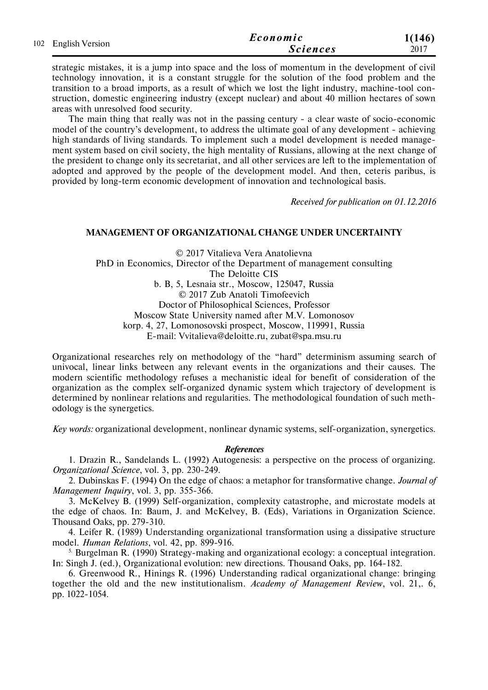| 102 English Version | Economic        | 1(146) |
|---------------------|-----------------|--------|
|                     | <b>Sciences</b> | 2017   |

strategic mistakes, it is a jump into space and the loss of momentum in the development of civil technology innovation, it is a constant struggle for the solution of the food problem and the transition to a broad imports, as a result of which we lost the light industry, machine-tool construction, domestic engineering industry (except nuclear) and about 40 million hectares of sown areas with unresolved food security.

The main thing that really was not in the passing century - a clear waste of socio-economic model of the country's development, to address the ultimate goal of any development - achieving high standards of living standards. To implement such a model development is needed management system based on civil society, the high mentality of Russians, allowing at the next change of the president to change only its secretariat, and all other services are left to the implementation of adopted and approved by the people of the development model. And then, ceteris paribus, is provided by long-term economic development of innovation and technological basis.

*Received for publication on 01.12.2016*

## **MANAGEMENT OF ORGANIZATIONAL CHANGE UNDER UNCERTAINTY**

© 2017 Vitalieva Vera Anatolievna PhD in Economics, Director of the Department of management consulting The Deloitte CIS b. B, 5, Lesnaia str., Moscow, 125047, Russia © 2017 Zub Anatoli Timofeevich Doctor of Philosophical Sciences, Professor Moscow State University named after M.V. Lomonosov korp. 4, 27, Lomonosovski prospect, Moscow, 119991, Russia E-mail: Vvitalieva@deloitte.ru, zubat@spa.msu.ru

Organizational researches rely on methodology of the "hard" determinism assuming search of univocal, linear links between any relevant events in the organizations and their causes. The modern scientific methodology refuses a mechanistic ideal for benefit of consideration of the organization as the complex self-organized dynamic system which trajectory of development is determined by nonlinear relations and regularities. The methodological foundation of such methodology is the synergetics.

*Key words:* organizational development, nonlinear dynamic systems, self-organization, synergetics.

#### *References*

1. Drazin R., Sandelands L. (1992) Autogenesis: a perspective on the process of organizing. *Organizational Science*, vol. 3, pp. 230-249.

2. Dubinskas F. (1994) On the edge of chaos: a metaphor for transformative change. *Journal of Management Inquiry*, vol. 3, pp. 355-366.

3. McKelvey B. (1999) Self-organization, complexity catastrophe, and microstate models at the edge of chaos. In: Baum, J. and McKelvey, B. (Eds), Variations in Organization Science. Thousand Oaks, pp. 279-310.

4. Leifer R. (1989) Understanding organizational transformation using a dissipative structure model. *Human Relations*, vol. 42, pp. 899-916.

5. Burgelman R. (1990) Strategy-making and organizational ecology: a conceptual integration. In: Singh J. (еd.), Organizational evolution: new directions. Thousand Oaks, рp. 164-182.

6. Greenwood R., Hinings R. (1996) Understanding radical organizational change: bringing together the old and the new institutionalism. *Academy of Management Review*, vol. 21,. 6, рp. 1022-1054.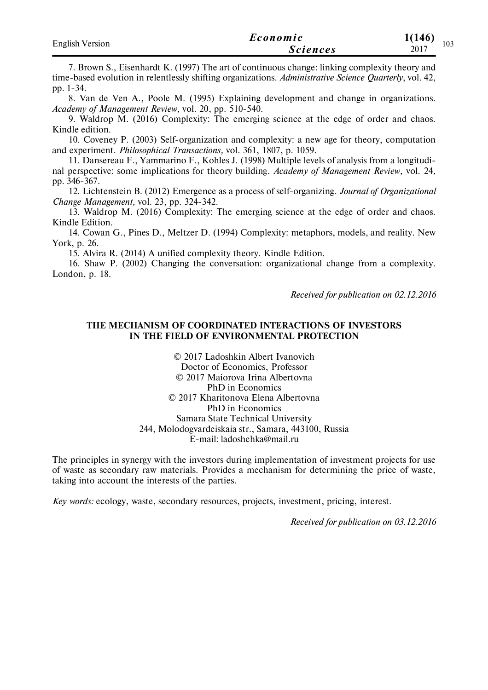| <b>English Version</b> | Economic        | 1(146)<br>103 |
|------------------------|-----------------|---------------|
|                        | <i>Sciences</i> | 2017          |

7. Brown S., Eisenhardt K. (1997) The art of continuous change: linking complexity theory and time-based evolution in relentlessly shifting organizations. *Administrative Science Quarterly*, vol. 42, рp. 1-34.

8. Van de Ven A., Poole M. (1995) Explaining development and change in organizations. *Academy of Management Review*, vol. 20, рp. 510-540.

9. Waldrop M. (2016) Complexity: The emerging science at the edge of order and chaos. Kindle edition.

10. Coveney Р. (2003) Self-organization and complexity: a new age for theory, computation and experiment. *Philosophical Transactions,* vol. 361, 1807, p. 1059.

11. Dansereau F., Yammarino F., Kohles J. (1998) Multiple levels of analysis from a longitudinal perspective: some implications for theory building. *Academy of Management Review*, vol. 24, pp. 346-367.

12. Lichtenstein В. (2012) Emergence as a process of self-organizing. *Journal of Organizational Change Management,* vol. 23, рр. 324-342.

13. Waldrop М. (2016) Complexity: The emerging science at the edge of order and chaos. Kindle Edition.

14. Cowan G., Pines D., Meltzer D. (1994) Complexity: metaphors, models, and reality. New York, р. 26.

15. Alvira R. (2014) A unified complexity theory. Kindle Edition.

16. Shaw P. (2002) Changing the conversation: organizational change from a complexity. London, р. 18.

*Received for publication on 02.12.2016*

#### **THE MECHANISM OF COORDINATED INTERACTIONS OF INVESTORS IN THE FIELD OF ENVIRONMENTAL PROTECTION**

© 2017 Ladoshkin Albert Ivanovich Doctor of Economics, Professor © 2017 Maiorovа Irina Albertovna PhD in Economics © 2017 Kharitonovа Elena Albertovna PhD in Economics Samara State Technical University 244, Molodogvardeiskaia str., Samara, 443100, Russia E-mail: ladoshehka@mail.ru

The principles in synergy with the investors during implementation of investment projects for use of waste as secondary raw materials. Provides a mechanism for determining the price of waste, taking into account the interests of the parties.

*Key words:* ecology, waste, secondary resources, projects, investment, pricing, interest.

*Received for publication on 03.12.2016*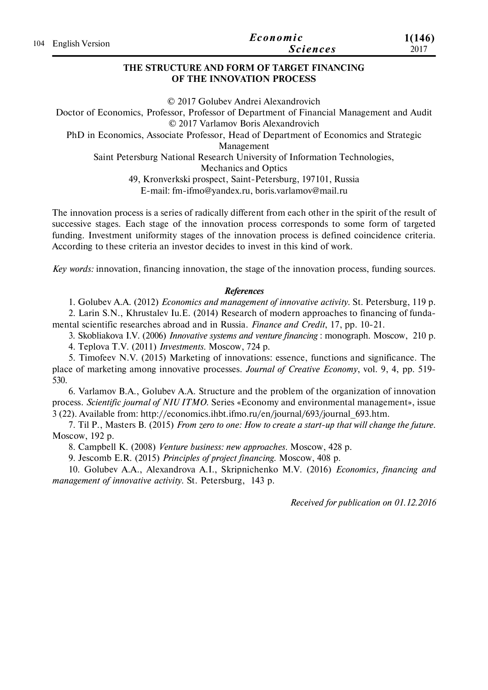|                     | Economic        | 1(146) |
|---------------------|-----------------|--------|
| 104 English Version | <b>Sciences</b> | 2017   |

## **THE STRUCTURE AND FORM OF TARGET FINANCING OF THE INNOVATION PROCESS**

© 2017 Golubev Andrei Alexandrovich Doctor of Economics, Professor, Professor of Department of Financial Management and Audit © 2017 Varlamov Boris Aleхandrovich PhD in Economics, Associate Professor, Head of Department of Economics and Strategic Management Saint Petersburg National Research University of Information Technologies, Mechanics and Optics 49, Kronverkski prospect, Saint-Petersburg, 197101, Russia E-mail: fm-ifmo@yandex.ru, boris.varlamov@mail.ru

The innovation process is a series of radically different from each other in the spirit of the result of successive stages. Each stage of the innovation process corresponds to some form of targeted funding. Investment uniformity stages of the innovation process is defined coincidence criteria. According to these criteria an investor decides to invest in this kind of work.

*Key words:* innovation, financing innovation, the stage of the innovation process, funding sources.

### *References*

1. Golubev A.A. (2012) *Economics and management of innovative activity*. St. Petersburg, 119 p. 2. Larin S.N., Khrustalev Iu.E. (2014) Research of modern approaches to financing of fundamental scientific researches abroad and in Russia. *Finance and Credit*, 17, pp. 10-21.

3. Skobliakova I.V. (2006) *Innovative systems and venture financing* : monograph. Moscow, 210 p.

4. Teplova T.V. (2011) *Investments*. Moscow, 724 p.

5. Timofeev N.V. (2015) Marketing of innovations: essence, functions and significance. The place of marketing among innovative processes. *Journal of Creative Economy*, vol. 9, 4, pp. 519- 530.

6. Varlamov B.A., Golubev A.A. Structure and the problem of the organization of innovation process. *Scientific journal of NIU ITMO*. Series «Economy and environmental management», issue 3 (22). Available from: http://economics.ihbt.ifmo.ru/en/journal/693/journal\_693.htm.

7. Til P., Masters B. (2015) *From zero to one: How to create a start-up that will change the future*. Moscow, 192 p.

8. Campbell K. (2008) *Venture business: new approaches*. Moscow, 428 p.

9. Jescomb E.R. (2015) *Principles of project financing*. Moscow, 408 p.

10. Golubev A.A., Alexandrova A.I., Skripnichenko M.V. (2016) *Economics, financing and management of innovative activity*. St. Petersburg, 143 p.

*Received for publication on 01.12.2016*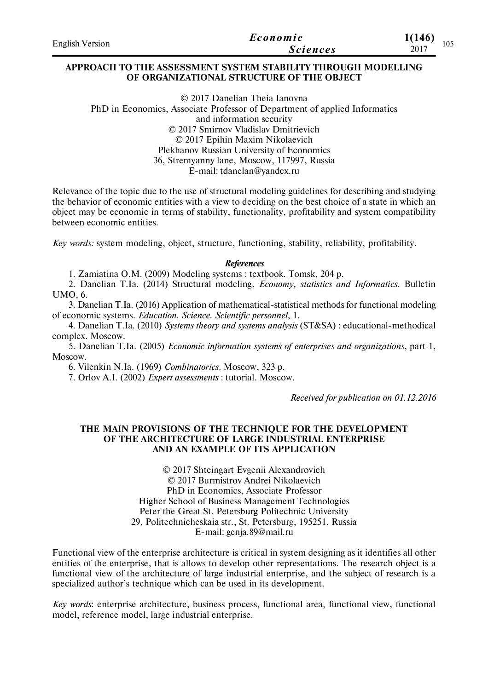| <b>English Version</b> | Economic        | 1(146)      |
|------------------------|-----------------|-------------|
|                        | <i>Sciences</i> | 105<br>2017 |

#### **APPROACH TO THE ASSESSMENT SYSTEM STABILITY THROUGH MODELLING OF ORGANIZATIONAL STRUCTURE OF THE OBJECT**

© 2017 Danelian Theia Ianovna PhD in Economics, Associate Professor of Department of applied Informatics and information security © 2017 Smirnov Vladislav Dmitrievich © 2017 Epihin Maxim Nikolaevich Plekhanov Russian University of Economics 36, Stremyanny lane, Moscow, 117997, Russia E-mail: tdanelan@yandex.ru

Relevance of the topic due to the use of structural modeling guidelines for describing and studying the behavior of economic entities with a view to deciding on the best choice of a state in which an object may be economic in terms of stability, functionality, profitability and system compatibility between economic entities.

*Key words:* system modeling, object, structure, functioning, stability, reliability, profitability.

#### *References*

1. Zamiatina O.M. (2009) Modeling systems : textbook. Tomsk, 204 p.

2. Danelian T.Ia. (2014) Structural modeling. *Economy, statistics and Informatics*. Bulletin UMO, 6.

3. Danelian T.Ia. (2016) Application of mathematical-statistical methods for functional modeling of economic systems. *Education. Science. Scientific personnel*, 1.

4. Danelian T.Ia. (2010) *Systems theory and systems analysis* (ST&SA) : educational-methodical complex. Moscow.

5. Danelian T.Ia. (2005) *Economic information systems of enterprises and organizations*, part 1, Moscow.

6. Vilenkin N.Ia. (1969) *Combinatorics*. Moscow, 323 p.

7. Orlov A.I. (2002) *Expert assessments* : tutorial. Moscow.

*Received for publication on 01.12.2016*

### **THE MAIN PROVISIONS OF THE TECHNIQUE FOR THE DEVELOPMENT OF THE ARCHITECTURE OF LARGE INDUSTRIAL ENTERPRISE AND AN EXAMPLE OF ITS APPLICATION**

© 2017 Shteingart Evgenii Alexandrovich © 2017 Burmistrov Andrei Nikolaevich PhD in Economics, Associate Professor Higher School of Business Management Technologies Peter the Great St. Petersburg Politechnic University 29, Politechnicheskaia str., St. Petersburg, 195251, Russia E-mail: genja.89@mail.ru

Functional view of the enterprise architecture is critical in system designing as it identifies all other entities of the enterprise, that is allows to develop other representations. The research object is a functional view of the architecture of large industrial enterprise, and the subject of research is a specialized author's technique which can be used in its development.

*Key words*: enterprise architecture, business process, functional area, functional view, functional model, reference model, large industrial enterprise.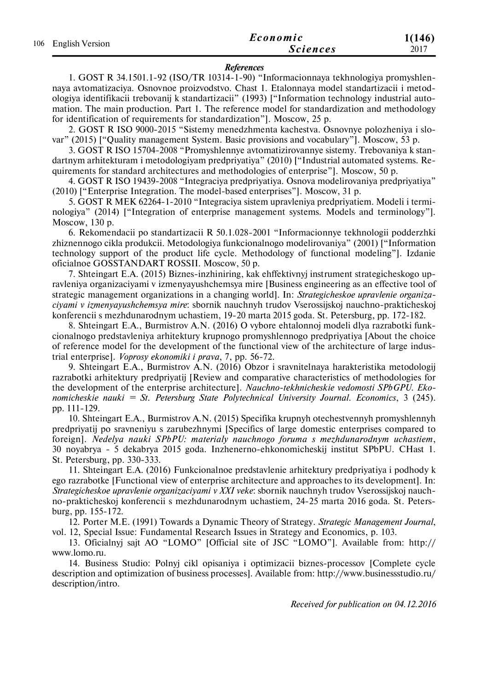| 106 English Version | Economic | 1(146)          |      |
|---------------------|----------|-----------------|------|
|                     |          | <b>Sciences</b> | 2017 |

#### *References*

1. GOST R 34.1501.1-92 (ISO/TR 10314-1-90) "Informacionnaya tekhnologiya promyshlennaya avtomatizaciya. Osnovnoe proizvodstvo. Chast 1. Etalonnaya model standartizacii i metodologiya identifikacii trebovanij k standartizacii" (1993) ["Information technology industrial automation. The main production. Part 1. The reference model for standardization and methodology for identification of requirements for standardization"]. Moscow, 25 p.

2. GOST R ISO 9000-2015 "Sistemy menedzhmenta kachestva. Osnovnye polozheniya i slovar" (2015) ["Quality management System. Basic provisions and vocabulary"]. Moscow, 53 p.

3. GOST R ISO 15704-2008 "Promyshlennye avtomatizirovannye sistemy. Trebovaniya k standartnym arhitekturam i metodologiyam predpriyatiya" (2010) ["Industrial automated systems. Requirements for standard architectures and methodologies of enterprise"]. Moscow, 50 p.

4. GOST R ISO 19439-2008 "Integraciya predpriyatiya. Osnova modelirovaniya predpriyatiya" (2010) ["Enterprise Integration. The model-based enterprises"]. Moscow, 31 p.

5. GOST R MEK 62264-1-2010 "Integraciya sistem upravleniya predpriyatiem. Modeli i terminologiya" (2014) ["Integration of enterprise management systems. Models and terminology"]. Moscow, 130 p.

6. Rekomendacii po standartizacii R 50.1.028-2001 "Informacionnye tekhnologii podderzhki zhiznennogo cikla produkcii. Metodologiya funkcionalnogo modelirovaniya" (2001) ["Information technology support of the product life cycle. Methodology of functional modeling"]. Izdanie oficialnoe GOSSTANDART ROSSII. Moscow, 50 p.

7. Shteingart E.A. (2015) Biznes-inzhiniring, kak ehffektivnyj instrument strategicheskogo upravleniya organizaciyami v izmenyayushchemsya mire [Business engineering as an effective tool of strategic management organizations in a changing world]. In: *Strategicheskoe upravlenie organizaciyami v izmenyayushchemsya mire*: sbornik nauchnyh trudov Vserossijskoj nauchno-prakticheskoj konferencii s mezhdunarodnym uchastiem, 19-20 marta 2015 goda. St. Petersburg, pp. 172-182.

8. Shteingart E.A., Burmistrov A.N. (2016) O vybore ehtalonnoj modeli dlya razrabotki funkcionalnogo predstavleniya arhitektury krupnogo promyshlennogo predpriyatiya [About the choice of reference model for the development of the functional view of the architecture of large industrial enterprise]. *Voprosy ekonomiki i prava*, 7, pp. 56-72.

9. Shteingart E.A., Burmistrov A.N. (2016) Obzor i sravnitelnaya harakteristika metodologij razrabotki arhitektury predpriyatij [Review and comparative characteristics of methodologies for the development of the enterprise architecture]. *Nauchno-tekhnicheskie vedomosti SPbGPU. Ekonomicheskie nauki = St. Petersburg State Polytechnical University Journal. Economics*, 3 (245). pp. 111-129.

10. Shteingart E.A., Burmistrov A.N. (2015) Specifika krupnyh otechestvennyh promyshlennyh predpriyatij po sravneniyu s zarubezhnymi [Specifics of large domestic enterprises compared to foreign]. *Nedelya nauki SPbPU: materialy nauchnogo foruma s mezhdunarodnym uchastiem*, 30 noyabrya - 5 dekabrya 2015 goda. Inzhenerno-ehkonomicheskij institut SPbPU. CHast 1. St. Petersburg, pp. 330-333.

11. Shteingart E.A. (2016) Funkcionalnoe predstavlenie arhitektury predpriyatiya i podhody k ego razrabotke [Functional view of enterprise architecture and approaches to its development]. In: *Strategicheskoe upravlenie organizaciyami v XXI veke*: sbornik nauchnyh trudov Vserossijskoj nauchno-prakticheskoj konferencii s mezhdunarodnym uchastiem, 24-25 marta 2016 goda. St. Petersburg, pp. 155-172.

12. Porter M.E. (1991) Towards a Dynamic Theory of Strategy. *Strategic Management Journal*, vol. 12, Special Issue: Fundamental Research Issues in Strategy and Economics, p. 103.

13. Oficialnyj sajt AO "LOMO" [Official site of JSC "LOMO"]. Available from: http:// www.lomo.ru.

14. Business Studio: Polnyj cikl opisaniya i optimizacii biznes-processov [Complete cycle description and optimization of business processes]. Available from: http://www.businessstudio.ru/ description/intro.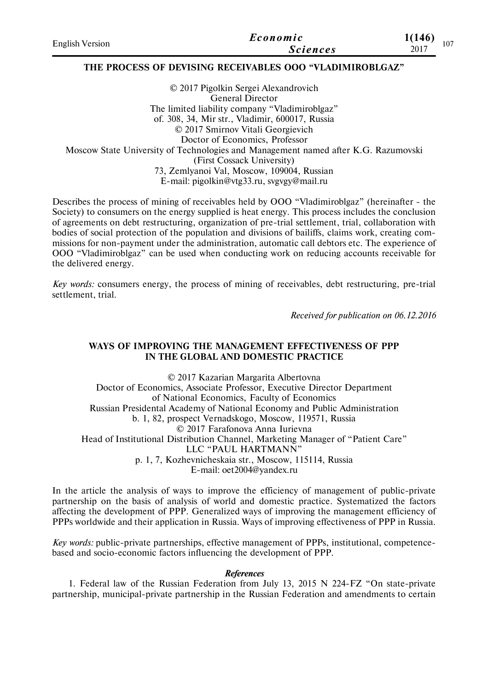| <b>English Version</b> | Economic        | 1(146)<br>107 |
|------------------------|-----------------|---------------|
|                        | <b>Sciences</b> | 2017          |

## **THE PROCESS OF DEVISING RECEIVABLES OOO "VLADIMIROBLGAZ"**

© 2017 Pigolkin Sergei Alexandrovich General Director The limited liability company "Vladimiroblgaz" of. 308, 34, Mir str., Vladimir, 600017, Russia © 2017 Smirnov Vitali Georgievich Doctor of Economics, Professor Moscow State University of Technologies and Management named after K.G. Razumovski (First Cossack University) 73, Zemlyanoi Val, Moscow, 109004, Russian E-mail: pigolkin@vtg33.ru, svgvgy@mail.ru

Describes the process of mining of receivables held by OOO "Vladimiroblgaz" (hereinafter - the Society) to consumers on the energy supplied is heat energy. This process includes the conclusion of agreements on debt restructuring, organization of pre-trial settlement, trial, collaboration with bodies of social protection of the population and divisions of bailiffs, claims work, creating commissions for non-payment under the administration, automatic call debtors etc. The experience of OOO "Vladimiroblgaz" can be used when conducting work on reducing accounts receivable for the delivered energy.

*Key words:* consumers energy, the process of mining of receivables, debt restructuring, pre-trial settlement, trial.

*Received for publication on 06.12.2016*

## **WAYS OF IMPROVING THE MANAGEMENT EFFECTIVENESS OF PPP IN THE GLOBAL AND DOMESTIC PRACTICE**

© 2017 Kazarian Margarita Albertovna Doctor of Economics, Associate Professor, Executive Director Department of National Economics, Faculty of Economics Russian Presidental Academy of National Economy and Public Administration b. 1, 82, prospect Vernadskogo, Moscow, 119571, Russia © 2017 Farafonova Anna Iurievna Head of Institutional Distribution Channel, Marketing Manager of "Patient Care" LLC "PAUL HARTMANN" p. 1, 7, Kozhevnicheskaia str., Moscow, 115114, Russia E-mail: oet2004@yandex.ru

In the article the analysis of ways to improve the efficiency of management of public-private partnership on the basis of analysis of world and domestic practice. Systematized the factors affecting the development of PPP. Generalized ways of improving the management efficiency of PPPs worldwide and their application in Russia. Ways of improving effectiveness of PPP in Russia.

*Key words:* public-private partnerships, effective management of PPPs, institutional, competencebased and socio-economic factors influencing the development of PPP.

#### *References*

1. Federal law of the Russian Federation from July 13, 2015 N 224-FZ "On state-private partnership, municipal-private partnership in the Russian Federation and amendments to certain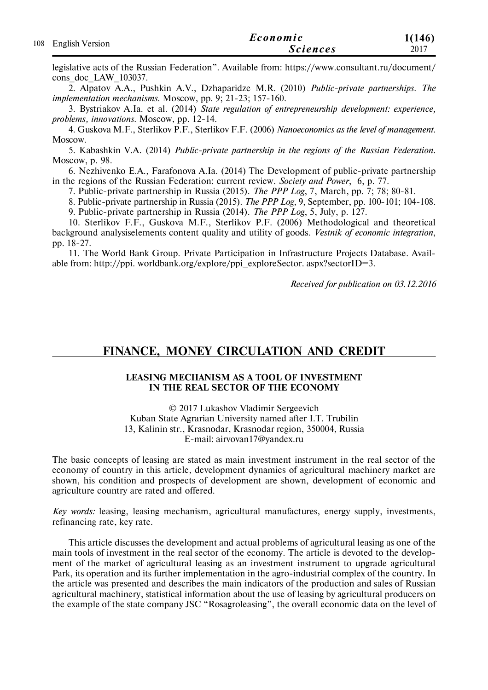| 108 English Version | Economic        | 1(146) |
|---------------------|-----------------|--------|
|                     | <b>Sciences</b> | 2017   |

legislative acts of the Russian Federation". Available from: https://www.consultant.ru/document/ cons doc LAW 103037.

2. Alpatov A.A., Pushkin A.V., Dzhaparidze M.R. (2010) *Public-private partnerships. The implementation mechanisms*. Moscow, pp. 9; 21-23; 157-160.

3. Bystriakov A.Ia. et al. (2014) *State regulation of entrepreneurship development: experience, problems, innovations*. Moscow, pp. 12-14.

4. Guskova M.F., Sterlikov P.F., Sterlikov F.F. (2006) *Nanoeconomics as the level of management*. Moscow.

5. Kabashkin V.A. (2014) *Public-private partnership in the regions of the Russian Federation*. Moscow, p. 98.

6. Nezhivenko E.A., Farafonova A.Ia. (2014) The Development of public-private partnership in the regions of the Russian Federation: current review. *Society and Power*, 6, p. 77.

7. Public-private partnership in Russia (2015). *The PPP Log*, 7, March, pp. 7; 78; 80-81.

8. Public-private partnership in Russia (2015). *The PPP Log*, 9, September, pp. 100-101; 104-108.

9. Public-private partnership in Russia (2014). *The PPP Log*, 5, July, p. 127.

10. Sterlikov F.F., Guskova M.F., Sterlikov P.F. (2006) Methodological and theoretical background analysiselements content quality and utility of goods. *Vestnik of economic integration*, pp. 18-27.

11. The World Bank Group. Private Participation in Infrastructure Projects Database. Available from: http://ppi. worldbank.org/explore/ppi\_exploreSector. aspx?sectorID=3.

*Received for publication on 03.12.2016*

## **FINANCE, MONEY CIRCULATION AND CREDIT**

### **LEASING MECHANISM AS A TOOL OF INVESTMENT IN THE REAL SECTOR OF THE ECONOMY**

© 2017 Lukashov Vladimir Sergeevich Kuban State Agrarian University named after I.T. Trubilin 13, Kalinin str., Krasnodar, Krasnodar region, 350004, Russia E-mail: airvovan17@yandex.ru

The basic concepts of leasing are stated as main investment instrument in the real sector of the economy of country in this article, development dynamics of agricultural machinery market are shown, his condition and prospects of development are shown, development of economic and agriculture country are rated and offered.

*Key words:* leasing, leasing mechanism, agricultural manufactures, energy supply, investments, refinancing rate, key rate.

This article discusses the development and actual problems of agricultural leasing as one of the main tools of investment in the real sector of the economy. The article is devoted to the development of the market of agricultural leasing as an investment instrument to upgrade agricultural Park, its operation and its further implementation in the agro-industrial complex of the country. In the article was presented and describes the main indicators of the production and sales of Russian agricultural machinery, statistical information about the use of leasing by agricultural producers on the example of the state company JSC "Rosagroleasing", the overall economic data on the level of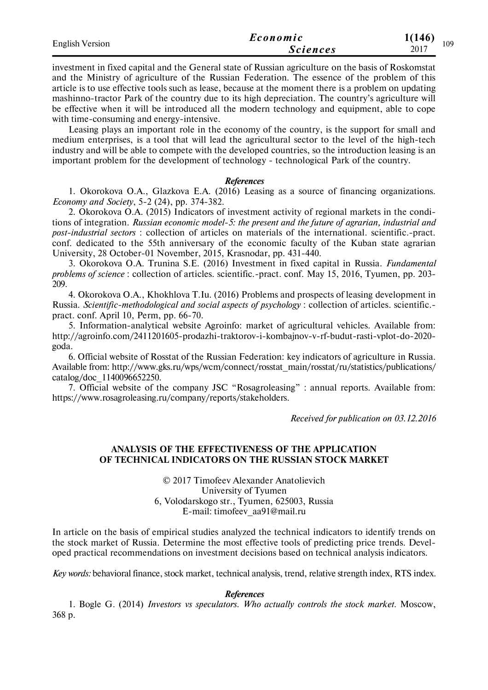| <b>English Version</b> | Economic        | 1(146)<br>109 |  |
|------------------------|-----------------|---------------|--|
|                        | <b>Sciences</b> | 2017          |  |

investment in fixed capital and the General state of Russian agriculture on the basis of Roskomstat and the Ministry of agriculture of the Russian Federation. The essence of the problem of this article is to use effective tools such as lease, because at the moment there is a problem on updating mashinno-tractor Park of the country due to its high depreciation. The country's agriculture will be effective when it will be introduced all the modern technology and equipment, able to cope with time-consuming and energy-intensive.

Leasing plays an important role in the economy of the country, is the support for small and medium enterprises, is a tool that will lead the agricultural sector to the level of the high-tech industry and will be able to compete with the developed countries, so the introduction leasing is an important problem for the development of technology - technological Park of the country.

#### *References*

1. Okorokova О.A., Glazkova E.A. (2016) Leasing as a source of financing organizations. *Economy and Society*, 5-2 (24), рр. 374-382.

2. Okorokova О.А. (2015) Indicators of investment activity of regional markets in the conditions of integration. *Russian economic model-5: the present and the future of agrarian, industrial and post-industrial sectors* : collection of articles on materials of the international. scientific.-pract. conf. dedicated to the 55th anniversary of the economic faculty of the Kuban state agrarian University, 28 October-01 November, 2015, Krasnodar, рр. 431-440.

3. Okorokova О.A. Trunina S.E. (2016) Investment in fixed capital in Russia. *Fundamental problems of science* : collection of articles. scientific.-pract. conf. May 15, 2016, Tyumen, рр. 203- 209.

4. Okorokova О.A., Khokhlova T.Iu. (2016) Problems and prospects of leasing development in Russia. *Scientific-methodological and social aspects of psychology* : collection of articles. scientific. pract. conf. April 10, Perm, рр. 66-70.

5. Information-analytical website Agroinfo: market of agricultural vehicles. Available from: http://agroinfo.com/2411201605-prodazhi-traktorov-i-kombajnov-v-rf-budut-rasti-vplot-do-2020 goda.

6. Official website of Rosstat of the Russian Federation: key indicators of agriculture in Russia. Available from: http://www.gks.ru/wps/wcm/connect/rosstat\_main/rosstat/ru/statistics/publications/ catalog/doc\_1140096652250.

7. Official website of the company JSC "Rosagroleasing" : annual reports. Available from: https://www.rosagroleasing.ru/company/reports/stakeholders.

*Received for publication on 03.12.2016*

### **ANALYSIS OF THE EFFECTIVENESS OF THE APPLICATION OF TECHNICAL INDICATORS ON THE RUSSIAN STOCK MARKET**

© 2017 Timofeev Alexander Anatolievich University of Tyumen 6, Volodarskogo str., Tyumen, 625003, Russia E-mail: timofeev\_aa91@mail.ru

In article on the basis of empirical studies analyzed the technical indicators to identify trends on the stock market of Russia. Determine the most effective tools of predicting price trends. Developed practical recommendations on investment decisions based on technical analysis indicators.

*Key words:* behavioral finance, stock market, technical analysis, trend, relative strength index, RTS index.

#### *References*

1. Bogle G. (2014) *Investors vs speculators. Who actually controls the stock market*. Moscow, 368 p.